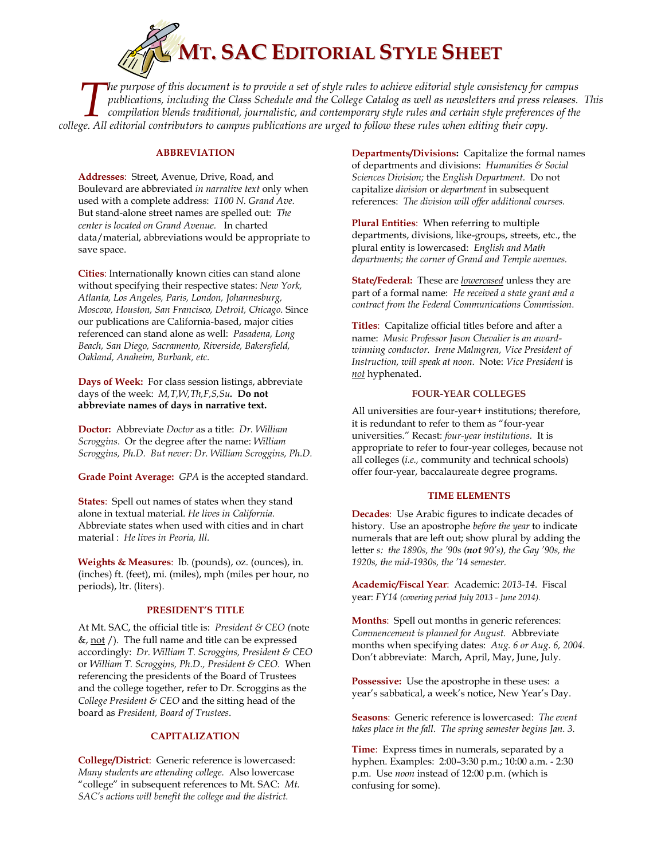

*he purpose of this document is to provide a set of style rules to achieve editorial style consistency for campus publications, including the Class Schedule and the College Catalog as well as newsletters and press releases. This compilation blends traditional, journalistic, and contemporary style rules and certain style preferences of the College. All equipose of this document is to provide a set of style rules to achieve editorial style consistency for compilations, including the Class Schedule and the College Catalog as well as newsletters and press rec* 

## **ABBREVIATION**

**Addresses**: Street, Avenue, Drive, Road, and Boulevard are abbreviated *in narrative text* only when used with a complete address: *1100 N. Grand Ave.* But stand-alone street names are spelled out: *The center is located on Grand Avenue.* In charted data/material, abbreviations would be appropriate to save space.

**Cities**: Internationally known cities can stand alone without specifying their respective states: *New York, Atlanta, Los Angeles, Paris, London, Johannesburg, Moscow, Houston, San Francisco, Detroit, Chicago.* Since our publications are California-based, major cities referenced can stand alone as well: *Pasadena, Long Beach, San Diego, Sacramento, Riverside, Bakersfield, Oakland, Anaheim, Burbank, etc.* 

**Days of Week:** For class session listings, abbreviate days of the week: *M,T,W,Th,F,S,Su.* **Do not abbreviate names of days in narrative text.**

**Doctor:** Abbreviate *Doctor* as a title: *Dr. William Scroggins*. Or the degree after the name: *William Scroggins, Ph.D. But never: Dr. William Scroggins, Ph.D.* 

**Grade Point Average:** *GPA* is the accepted standard.

**States**: Spell out names of states when they stand alone in textual material. *He lives in California.*  Abbreviate states when used with cities and in chart material : *He lives in Peoria, Ill.* 

**Weights & Measures**: lb. (pounds), oz. (ounces), in. (inches) ft. (feet), mi. (miles), mph (miles per hour, no periods), ltr. (liters).

## **PRESIDENT'S TITLE**

At Mt. SAC, the official title is: *President & CEO (*note  $\&$ , not /). The full name and title can be expressed accordingly: *Dr. William T. Scroggins, President & CEO* or *William T. Scroggins, Ph.D., President & CEO.* When referencing the presidents of the Board of Trustees and the college together, refer to Dr. Scroggins as the *College President & CEO* and the sitting head of the board as *President, Board of Trustees*.

#### **CAPITALIZATION**

**College/District**: Generic reference is lowercased: *Many students are attending college.* Also lowercase "college" in subsequent references to Mt. SAC: *Mt. SAC's actions will benefit the college and the district.*

**Departments/Divisions:** Capitalize the formal names of departments and divisions: *Humanities & Social Sciences Division;* the *English Department.* Do not capitalize *division* or *department* in subsequent references: *The division will offer additional courses.* 

**Plural Entities**: When referring to multiple departments, divisions, like-groups, streets, etc., the plural entity is lowercased: *English and Math departments; the corner of Grand and Temple avenues.* 

**State/Federal:** These are *lowercased* unless they are part of a formal name: *He received a state grant and a contract from the Federal Communications Commission.*

**Titles**: Capitalize official titles before and after a name: *Music Professor Jason Chevalier is an awardwinning conductor. Irene Malmgren, Vice President of Instruction, will speak at noon.* Note: *Vice President* is *not* hyphenated.

## **FOUR-YEAR COLLEGES**

All universities are four-year+ institutions; therefore, it is redundant to refer to them as "four-year universities." Recast: *four-year institutions.* It is appropriate to refer to four-year colleges, because not all colleges (*i.e.,* community and technical schools) offer four-year, baccalaureate degree programs.

#### **TIME ELEMENTS**

**Decades**: Use Arabic figures to indicate decades of history. Use an apostrophe *before the year* to indicate numerals that are left out; show plural by adding the letter *s: the 1890s, the '90s (not 90's), the Gay '90s, the 1920s, the mid-1930s, the '14 semester.* 

**Academic/Fiscal Year**: Academic: *2013-14*. Fiscal year: *FY14 (covering period July 2013 - June 2014).* 

**Months**: Spell out months in generic references: *Commencement is planned for August.* Abbreviate months when specifying dates: *Aug. 6 or Aug. 6, 2004*. Don't abbreviate: March, April, May, June, July.

**Possessive:** Use the apostrophe in these uses: a year's sabbatical, a week's notice, New Year's Day.

**Seasons**: Generic reference is lowercased: *The event takes place in the fall. The spring semester begins Jan. 3.* 

**Time**: Express times in numerals, separated by a hyphen. Examples: 2:00–3:30 p.m.; 10:00 a.m. - 2:30 p.m. Use *noon* instead of 12:00 p.m. (which is confusing for some).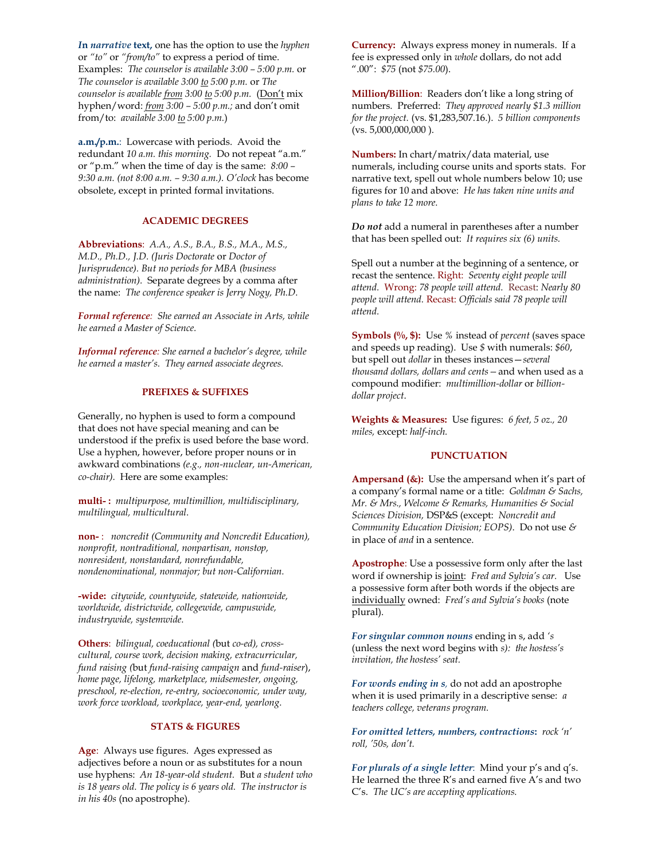*I***n** *narrative* **text,** one has the option to use the *hyphen* or *"to"* or *"from/to"* to express a period of time. Examples: *The counselor is available 3:00 – 5:00 p.m.* or *The counselor is available 3:00 to 5:00 p.m.* or *The counselor is available from 3:00 to 5:00 p.m.* (Don't mix hyphen/word: *from 3:00 – 5:00 p.m.;* and don't omit from/to: *available 3:00 to 5:00 p.m.*)

**a.m./p.m.**: Lowercase with periods. Avoid the redundant *10 a.m. this morning.* Do not repeat "a.m." or "p.m." when the time of day is the same: *8:00 – 9:30 a.m. (not 8:00 a.m. – 9:30 a.m.). O'clock* has become obsolete, except in printed formal invitations.

## **ACADEMIC DEGREES**

**Abbreviations**: *A.A., A.S., B.A., B.S., M.A., M.S., M.D., Ph.D., J.D. (Juris Doctorate* or *Doctor of Jurisprudence). But no periods for MBA (business administration).* Separate degrees by a comma after the name: *The conference speaker is Jerry Nogy, Ph.D.*

*Formal reference: She earned an Associate in Arts, while he earned a Master of Science.*

*Informal reference: She earned a bachelor's degree, while he earned a master's. They earned associate degrees.* 

#### **PREFIXES & SUFFIXES**

Generally, no hyphen is used to form a compound that does not have special meaning and can be understood if the prefix is used before the base word. Use a hyphen, however, before proper nouns or in awkward combinations *(e.g., non-nuclear, un-American, co-chair).* Here are some examples:

**multi- :** *multipurpose, multimillion, multidisciplinary, multilingual, multicultural.*

**non-** : *noncredit (Community and Noncredit Education), nonprofit, nontraditional, nonpartisan, nonstop, nonresident, nonstandard, nonrefundable, nondenominational, nonmajor; but non-Californian.* 

**-wide:** *citywide, countywide, statewide, nationwide, worldwide, districtwide, collegewide, campuswide, industrywide, systemwide.*

**Others**: *bilingual, coeducational (*but *co-ed), crosscultural, course work, decision making, extracurricular, fund raising (*but *fund-raising campaign* and *fund-raiser*), *home page, lifelong, marketplace, midsemester, ongoing, preschool, re-election, re-entry, socioeconomic, under way, work force workload, workplace, year-end, yearlong.*

#### **STATS & FIGURES**

**Age**: Always use figures. Ages expressed as adjectives before a noun or as substitutes for a noun use hyphens: *An 18-year-old student.* But *a student who is 18 years old. The policy is 6 years old. The instructor is in his 40s* (no apostrophe).

**Currency:** Always express money in numerals. If a fee is expressed only in *whole* dollars, do not add ".00": *\$75* (not *\$75.00*).

**Million/Billion**: Readers don't like a long string of numbers. Preferred: *They approved nearly \$1.3 million for the project.* (vs. \$1,283,507.16.). *5 billion components*  (vs. 5,000,000,000 ).

**Numbers:** In chart/matrix/data material, use numerals, including course units and sports stats. For narrative text, spell out whole numbers below 10; use figures for 10 and above: *He has taken nine units and plans to take 12 more.*

*Do not* add a numeral in parentheses after a number that has been spelled out: *It requires six (6) units.* 

Spell out a number at the beginning of a sentence, or recast the sentence. Right: *Seventy eight people will attend.* Wrong: *78 people will attend.* Recast: *Nearly 80 people will attend.* Recast: *Officials said 78 people will attend.* 

**Symbols (%, \$):** Use *%* instead of *percent* (saves space and speeds up reading). Use *\$* with numerals: *\$60*, but spell out *dollar* in theses instances—*several thousand dollars, dollars and cents—*and when used as a compound modifier: *multimillion-dollar* or *billiondollar project*.

**Weights & Measures:** Use figures: *6 feet, 5 oz., 20 miles,* except*: half-inch.*

#### **PUNCTUATION**

**Ampersand (&):** Use the ampersand when it's part of a company's formal name or a title: *Goldman & Sachs, Mr. & Mrs., Welcome & Remarks, Humanities & Social Sciences Division,* DSP&S (except: *Noncredit and Community Education Division; EOPS)*. Do not use *&*  in place of *and* in a sentence.

**Apostrophe**: Use a possessive form only after the last word if ownership is joint: *Fred and Sylvia's car.* Use a possessive form after both words if the objects are individually owned: *Fred's and Sylvia's books* (note plural).

*For singular common nouns* ending in s, add *'s* (unless the next word begins with *s): the hostess's invitation, the hostess' seat.*

*For words ending in s,* do not add an apostrophe when it is used primarily in a descriptive sense: *a teachers college, veterans program.*

*For omitted letters, numbers, contractions***:** *rock 'n' roll, '50s, don't.*

*For plurals of a single letter*: Mind your p's and q's. He learned the three R's and earned five A's and two C's. *The UC's are accepting applications.*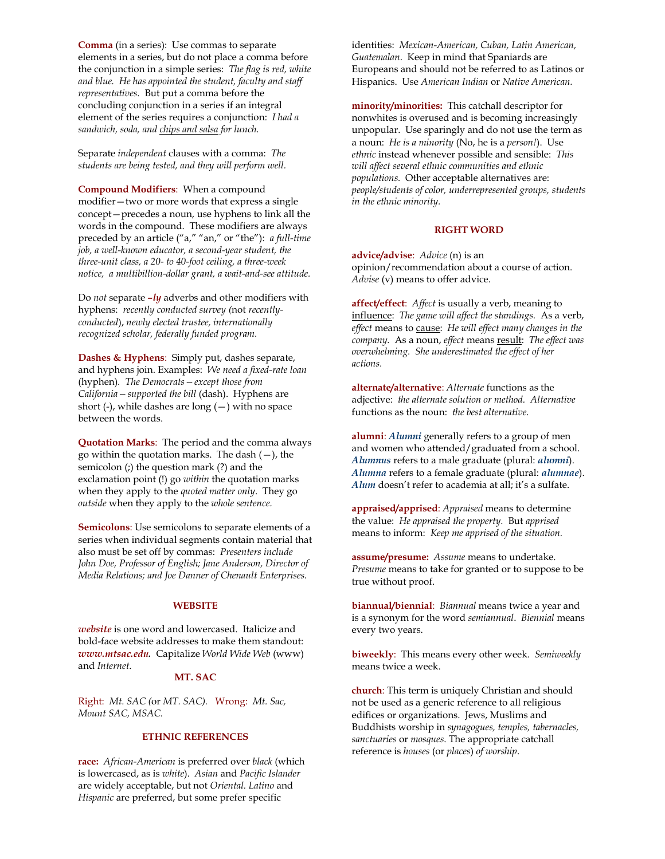**Comma** (in a series): Use commas to separate elements in a series, but do not place a comma before the conjunction in a simple series: *The flag is red, white and blue. He has appointed the student, faculty and staff representatives.* But put a comma before the concluding conjunction in a series if an integral element of the series requires a conjunction: *I had a sandwich, soda, and chips and salsa for lunch.*

Separate *independent* clauses with a comma: *The students are being tested, and they will perform well.* 

**Compound Modifiers**: When a compound modifier—two or more words that express a single concept—precedes a noun, use hyphens to link all the words in the compound. These modifiers are always preceded by an article ("a," "an," or "the"): *a full-time job, a well-known educator, a second-year student, the three-unit class, a 20- to 40-foot ceiling, a three-week notice, a multibillion-dollar grant, a wait-and-see attitude.* 

Do *not* separate *–ly* adverbs and other modifiers with hyphens: *recently conducted survey (*not *recentlyconducted*), *newly elected trustee, internationally recognized scholar, federally funded program.* 

**Dashes & Hyphens**: Simply put, dashes separate, and hyphens join. Examples: *We need a fixed-rate loan*  (hyphen)*. The Democrats—except those from California—supported the bill* (dash). Hyphens are short (-), while dashes are long  $(-)$  with no space between the words.

**Quotation Marks**: The period and the comma always go within the quotation marks. The dash  $(-)$ , the semicolon (;) the question mark (?) and the exclamation point (!) go *within* the quotation marks when they apply to the *quoted matter only*. They go *outside* when they apply to the *whole sentence.*

**Semicolons**: Use semicolons to separate elements of a series when individual segments contain material that also must be set off by commas: *Presenters include John Doe, Professor of English; Jane Anderson, Director of Media Relations; and Joe Danner of Chenault Enterprises.* 

#### **WEBSITE**

*website* is one word and lowercased. Italicize and bold-face website addresses to make them standout: *[www.mtsac.edu.](http://www.mtsac.edu/)*Capitalize *World Wide Web* (www) and *Internet*.

### **MT. SAC**

Right: *Mt. SAC (*or *MT. SAC).* Wrong: *Mt. Sac, Mount SAC, MSAC.* 

# **ETHNIC REFERENCES**

**race:** *African-American* is preferred over *black* (which is lowercased, as is *white*). *Asian* and *Pacific Islander* are widely acceptable, but not *Oriental. Latino* and *Hispanic* are preferred, but some prefer specific

identities: *Mexican-American, Cuban, Latin American, Guatemalan*. Keep in mind that Spaniards are Europeans and should not be referred to as Latinos or Hispanics. Use *American Indian* or *Native American.* 

**minority/minorities:** This catchall descriptor for nonwhites is overused and is becoming increasingly unpopular. Use sparingly and do not use the term as a noun: *He is a minority* (No, he is a *person!*). Use *ethnic* instead whenever possible and sensible: *This will affect several ethnic communities and ethnic populations.* Other acceptable alternatives are: *people/students of color, underrepresented groups, students in the ethnic minority.*

## **RIGHT WORD**

**advice/advise**: *Advice* (n) is an opinion/recommendation about a course of action. *Advise* (v) means to offer advice.

**affect/effect**: *Affect* is usually a verb, meaning to influence: *The game will affect the standings.* As a verb, *effect* means to cause: *He will effect many changes in the company.* As a noun, *effect* means result: *The effect was overwhelming. She underestimated the effect of her actions.* 

**alternate/alternative**: *Alternate* functions as the adjective: *the alternate solution or method. Alternative* functions as the noun: *the best alternative.* 

**alumni**: *Alumni* generally refers to a group of men and women who attended/graduated from a school. *Alumnus* refers to a male graduate (plural: *alumni*). *Alumna* refers to a female graduate (plural: *alumnae*). *Alum* doesn't refer to academia at all; it's a sulfate.

**appraised/apprised**: *Appraised* means to determine the value: *He appraised the property.* But *apprised* means to inform: *Keep me apprised of the situation.* 

**assume/presume:** *Assume* means to undertake. *Presume* means to take for granted or to suppose to be true without proof.

**biannual/biennial**: *Biannual* means twice a year and is a synonym for the word *semiannual*. *Biennial* means every two years.

**biweekly**: This means every other week. *Semiweekly* means twice a week.

**church**: This term is uniquely Christian and should not be used as a generic reference to all religious edifices or organizations. Jews, Muslims and Buddhists worship in *synagogues, temples, tabernacles, sanctuaries* or *mosques*. The appropriate catchall reference is *houses* (or *places*) *of worship*.